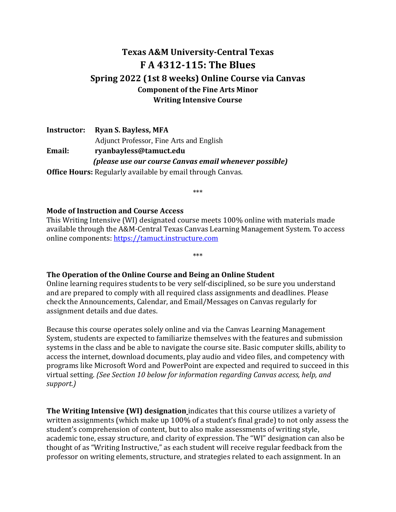# **Texas A&M University-Central Texas F A 4312-115: The Blues Spring 2022 (1st 8 weeks) Online Course via Canvas Component of the Fine Arts Minor Writing Intensive Course**

**Instructor: Ryan S. Bayless, MFA** Adjunct Professor, Fine Arts and English **Email: ryanbayless@tamuct.edu** *(please use our course Canvas email whenever possible)* **Office Hours:** Regularly available by email through Canvas.

\*\*\*

#### **Mode of Instruction and Course Access**

This Writing Intensive (WI) designated course meets 100% online with materials made available through the A&M-Central Texas Canvas Learning Management System. To access online components: [https://tamuct.instructure.com](https://tamuct.instructure.com/)

\*\*\*

#### **The Operation of the Online Course and Being an Online Student**

Online learning requires students to be very self-disciplined, so be sure you understand and are prepared to comply with all required class assignments and deadlines. Please check the Announcements, Calendar, and Email/Messages on Canvas regularly for assignment details and due dates.

Because this course operates solely online and via the Canvas Learning Management System, students are expected to familiarize themselves with the features and submission systems in the class and be able to navigate the course site. Basic computer skills, ability to access the internet, download documents, play audio and video files, and competency with programs like Microsoft Word and PowerPoint are expected and required to succeed in this virtual setting. *(See Section 10 below for information regarding Canvas access, help, and support.)*

**The Writing Intensive (WI) designation** indicates that this course utilizes a variety of written assignments (which make up 100% of a student's final grade) to not only assess the student's comprehension of content, but to also make assessments of writing style, academic tone, essay structure, and clarity of expression. The "WI" designation can also be thought of as "Writing Instructive," as each student will receive regular feedback from the professor on writing elements, structure, and strategies related to each assignment. In an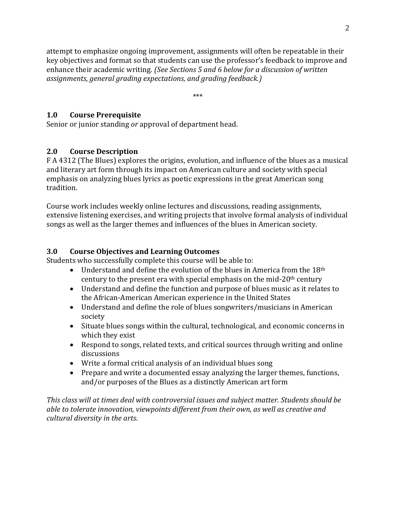attempt to emphasize ongoing improvement, assignments will often be repeatable in their key objectives and format so that students can use the professor's feedback to improve and enhance their academic writing. *(See Sections 5 and 6 below for a discussion of written assignments, general grading expectations, and grading feedback.)*

\*\*\*

### **1.0 Course Prerequisite**

Senior or junior standing *or* approval of department head.

### **2.0 Course Description**

F A 4312 (The Blues) explores the origins, evolution, and influence of the blues as a musical and literary art form through its impact on American culture and society with special emphasis on analyzing blues lyrics as poetic expressions in the great American song tradition.

Course work includes weekly online lectures and discussions, reading assignments, extensive listening exercises, and writing projects that involve formal analysis of individual songs as well as the larger themes and influences of the blues in American society.

### **3.0 Course Objectives and Learning Outcomes**

Students who successfully complete this course will be able to:

- Understand and define the evolution of the blues in America from the  $18<sup>th</sup>$ century to the present era with special emphasis on the mid- $20<sup>th</sup>$  century
- Understand and define the function and purpose of blues music as it relates to the African-American American experience in the United States
- Understand and define the role of blues songwriters/musicians in American society
- Situate blues songs within the cultural, technological, and economic concerns in which they exist
- Respond to songs, related texts, and critical sources through writing and online discussions
- Write a formal critical analysis of an individual blues song
- Prepare and write a documented essay analyzing the larger themes, functions, and/or purposes of the Blues as a distinctly American art form

*This class will at times deal with controversial issues and subject matter. Students should be able to tolerate innovation, viewpoints different from their own, as well as creative and cultural diversity in the arts.*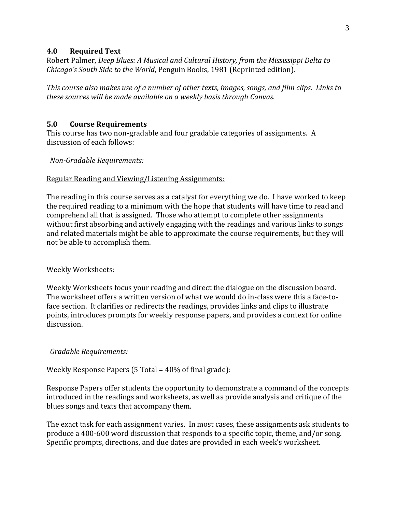#### **4.0 Required Text**

Robert Palmer, *Deep Blues: A Musical and Cultural History, from the Mississippi Delta to Chicago's South Side to the World*, Penguin Books, 1981 (Reprinted edition).

*This course also makes use of a number of other texts, images, songs, and film clips. Links to these sources will be made available on a weekly basis through Canvas.*

#### **5.0 Course Requirements**

This course has two non-gradable and four gradable categories of assignments. A discussion of each follows:

 *Non-Gradable Requirements:*

#### Regular Reading and Viewing/Listening Assignments:

The reading in this course serves as a catalyst for everything we do. I have worked to keep the required reading to a minimum with the hope that students will have time to read and comprehend all that is assigned. Those who attempt to complete other assignments without first absorbing and actively engaging with the readings and various links to songs and related materials might be able to approximate the course requirements, but they will not be able to accomplish them.

#### Weekly Worksheets:

Weekly Worksheets focus your reading and direct the dialogue on the discussion board. The worksheet offers a written version of what we would do in-class were this a face-toface section. It clarifies or redirects the readings, provides links and clips to illustrate points, introduces prompts for weekly response papers, and provides a context for online discussion.

#### *Gradable Requirements:*

#### Weekly Response Papers (5 Total = 40% of final grade):

Response Papers offer students the opportunity to demonstrate a command of the concepts introduced in the readings and worksheets, as well as provide analysis and critique of the blues songs and texts that accompany them.

The exact task for each assignment varies. In most cases, these assignments ask students to produce a 400-600 word discussion that responds to a specific topic, theme, and/or song. Specific prompts, directions, and due dates are provided in each week's worksheet.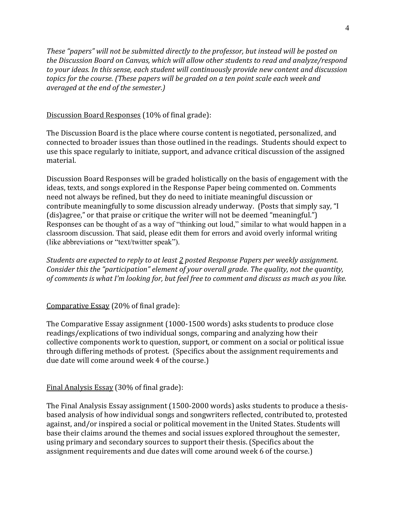*These "papers" will not be submitted directly to the professor, but instead will be posted on the Discussion Board on Canvas, which will allow other students to read and analyze/respond to your ideas. In this sense, each student will continuously provide new content and discussion topics for the course. (These papers will be graded on a ten point scale each week and averaged at the end of the semester.)*

#### Discussion Board Responses (10% of final grade):

The Discussion Board is the place where course content is negotiated, personalized, and connected to broader issues than those outlined in the readings. Students should expect to use this space regularly to initiate, support, and advance critical discussion of the assigned material.

Discussion Board Responses will be graded holistically on the basis of engagement with the ideas, texts, and songs explored in the Response Paper being commented on. Comments need not always be refined, but they do need to initiate meaningful discussion or contribute meaningfully to some discussion already underway. (Posts that simply say, "I (dis)agree," or that praise or critique the writer will not be deemed "meaningful.") Responses can be thought of as a way of "thinking out loud," similar to what would happen in a classroom discussion. That said, please edit them for errors and avoid overly informal writing (like abbreviations or "text/twitter speak").

*Students are expected to reply to at least 2 posted Response Papers per weekly assignment. Consider this the "participation" element of your overall grade. The quality, not the quantity, of comments is what I'm looking for, but feel free to comment and discuss as much as you like.*

#### Comparative Essay (20% of final grade):

The Comparative Essay assignment (1000-1500 words) asks students to produce close readings/explications of two individual songs, comparing and analyzing how their collective components work to question, support, or comment on a social or political issue through differing methods of protest. (Specifics about the assignment requirements and due date will come around week 4 of the course.)

#### Final Analysis Essay (30% of final grade):

The Final Analysis Essay assignment (1500-2000 words) asks students to produce a thesisbased analysis of how individual songs and songwriters reflected, contributed to, protested against, and/or inspired a social or political movement in the United States. Students will base their claims around the themes and social issues explored throughout the semester, using primary and secondary sources to support their thesis. (Specifics about the assignment requirements and due dates will come around week 6 of the course.)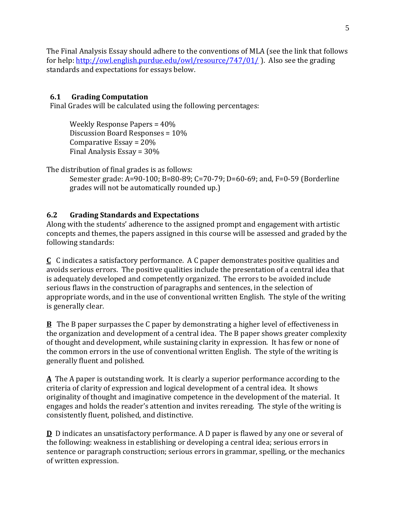The Final Analysis Essay should adhere to the conventions of MLA (see the link that follows for help:<http://owl.english.purdue.edu/owl/resource/747/01/>). Also see the grading standards and expectations for essays below.

# **6.1 Grading Computation**

Final Grades will be calculated using the following percentages:

Weekly Response Papers = 40% Discussion Board Responses = 10% Comparative Essay = 20% Final Analysis Essay = 30%

The distribution of final grades is as follows:

Semester grade: A=90-100; B=80-89; C=70-79; D=60-69; and, F=0-59 (Borderline grades will not be automatically rounded up.)

# **6.2 Grading Standards and Expectations**

Along with the students' adherence to the assigned prompt and engagement with artistic concepts and themes, the papers assigned in this course will be assessed and graded by the following standards:

**C** C indicates a satisfactory performance. A C paper demonstrates positive qualities and avoids serious errors. The positive qualities include the presentation of a central idea that is adequately developed and competently organized. The errors to be avoided include serious flaws in the construction of paragraphs and sentences, in the selection of appropriate words, and in the use of conventional written English. The style of the writing is generally clear.

**B** The B paper surpasses the C paper by demonstrating a higher level of effectiveness in the organization and development of a central idea. The B paper shows greater complexity of thought and development, while sustaining clarity in expression. It has few or none of the common errors in the use of conventional written English. The style of the writing is generally fluent and polished.

**A** The A paper is outstanding work. It is clearly a superior performance according to the criteria of clarity of expression and logical development of a central idea. It shows originality of thought and imaginative competence in the development of the material. It engages and holds the reader's attention and invites rereading. The style of the writing is consistently fluent, polished, and distinctive.

**D** D indicates an unsatisfactory performance. A D paper is flawed by any one or several of the following: weakness in establishing or developing a central idea; serious errors in sentence or paragraph construction; serious errors in grammar, spelling, or the mechanics of written expression.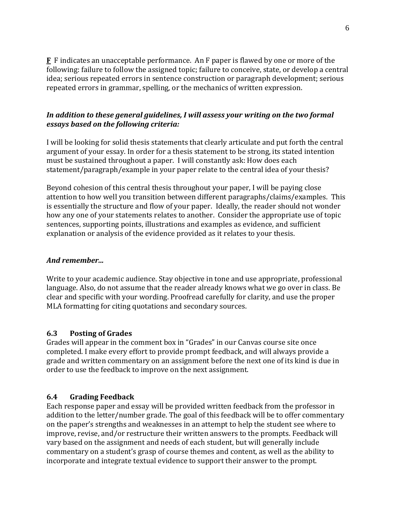**F** F indicates an unacceptable performance. An F paper is flawed by one or more of the following: failure to follow the assigned topic; failure to conceive, state, or develop a central idea; serious repeated errors in sentence construction or paragraph development; serious repeated errors in grammar, spelling, or the mechanics of written expression.

### *In addition to these general guidelines, I will assess your writing on the two formal essays based on the following criteria:*

I will be looking for solid thesis statements that clearly articulate and put forth the central argument of your essay. In order for a thesis statement to be strong, its stated intention must be sustained throughout a paper. I will constantly ask: How does each statement/paragraph/example in your paper relate to the central idea of your thesis?

Beyond cohesion of this central thesis throughout your paper, I will be paying close attention to how well you transition between different paragraphs/claims/examples. This is essentially the structure and flow of your paper. Ideally, the reader should not wonder how any one of your statements relates to another. Consider the appropriate use of topic sentences, supporting points, illustrations and examples as evidence, and sufficient explanation or analysis of the evidence provided as it relates to your thesis.

### *And remember...*

Write to your academic audience. Stay objective in tone and use appropriate, professional language. Also, do not assume that the reader already knows what we go over in class. Be clear and specific with your wording. Proofread carefully for clarity, and use the proper MLA formatting for citing quotations and secondary sources.

#### **6.3 Posting of Grades**

Grades will appear in the comment box in "Grades" in our Canvas course site once completed. I make every effort to provide prompt feedback, and will always provide a grade and written commentary on an assignment before the next one of its kind is due in order to use the feedback to improve on the next assignment.

### **6.4 Grading Feedback**

Each response paper and essay will be provided written feedback from the professor in addition to the letter/number grade. The goal of this feedback will be to offer commentary on the paper's strengths and weaknesses in an attempt to help the student see where to improve, revise, and/or restructure their written answers to the prompts. Feedback will vary based on the assignment and needs of each student, but will generally include commentary on a student's grasp of course themes and content, as well as the ability to incorporate and integrate textual evidence to support their answer to the prompt.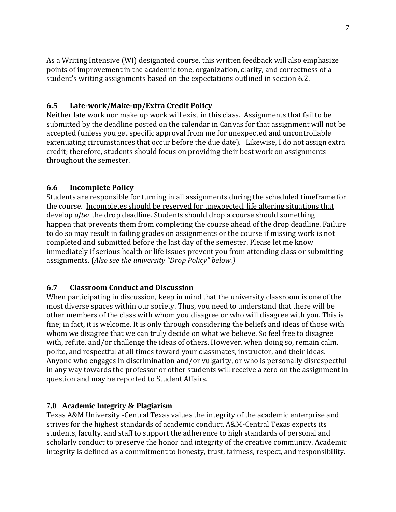As a Writing Intensive (WI) designated course, this written feedback will also emphasize points of improvement in the academic tone, organization, clarity, and correctness of a student's writing assignments based on the expectations outlined in section 6.2.

### **6.5 Late-work/Make-up/Extra Credit Policy**

Neither late work nor make up work will exist in this class. Assignments that fail to be submitted by the deadline posted on the calendar in Canvas for that assignment will not be accepted (unless you get specific approval from me for unexpected and uncontrollable extenuating circumstances that occur before the due date). Likewise, I do not assign extra credit; therefore, students should focus on providing their best work on assignments throughout the semester.

### **6.6 Incomplete Policy**

Students are responsible for turning in all assignments during the scheduled timeframe for the course. Incompletes should be reserved for unexpected, life altering situations that develop *after* the drop deadline. Students should drop a course should something happen that prevents them from completing the course ahead of the drop deadline. Failure to do so may result in failing grades on assignments or the course if missing work is not completed and submitted before the last day of the semester. Please let me know immediately if serious health or life issues prevent you from attending class or submitting assignments. (*Also see the university "Drop Policy" below.)*

### **6.7 Classroom Conduct and Discussion**

When participating in discussion, keep in mind that the university classroom is one of the most diverse spaces within our society. Thus, you need to understand that there will be other members of the class with whom you disagree or who will disagree with you. This is fine; in fact, it is welcome. It is only through considering the beliefs and ideas of those with whom we disagree that we can truly decide on what we believe. So feel free to disagree with, refute, and/or challenge the ideas of others. However, when doing so, remain calm, polite, and respectful at all times toward your classmates, instructor, and their ideas. Anyone who engages in discrimination and/or vulgarity, or who is personally disrespectful in any way towards the professor or other students will receive a zero on the assignment in question and may be reported to Student Affairs.

#### **7.0 Academic Integrity & Plagiarism**

Texas A&M University -Central Texas values the integrity of the academic enterprise and strives for the highest standards of academic conduct. A&M-Central Texas expects its students, faculty, and staff to support the adherence to high standards of personal and scholarly conduct to preserve the honor and integrity of the creative community. Academic integrity is defined as a commitment to honesty, trust, fairness, respect, and responsibility.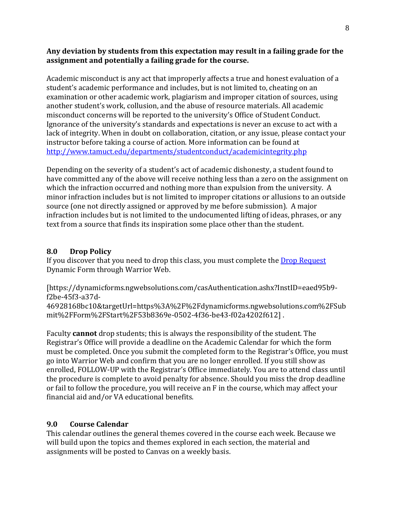#### **Any deviation by students from this expectation may result in a failing grade for the assignment and potentially a failing grade for the course.**

Academic misconduct is any act that improperly affects a true and honest evaluation of a student's academic performance and includes, but is not limited to, cheating on an examination or other academic work, plagiarism and improper citation of sources, using another student's work, collusion, and the abuse of resource materials. All academic misconduct concerns will be reported to the university's Office of Student Conduct. Ignorance of the university's standards and expectations is never an excuse to act with a lack of integrity. When in doubt on collaboration, citation, or any issue, please contact your instructor before taking a course of action. More information can be found at <http://www.tamuct.edu/departments/studentconduct/academicintegrity.php>

Depending on the severity of a student's act of academic dishonesty, a student found to have committed any of the above will receive nothing less than a zero on the assignment on which the infraction occurred and nothing more than expulsion from the university. A minor infraction includes but is not limited to improper citations or allusions to an outside source (one not directly assigned or approved by me before submission). A major infraction includes but is not limited to the undocumented lifting of ideas, phrases, or any text from a source that finds its inspiration some place other than the student.

#### **8.0 Drop Policy**

If you discover that you need to drop this class, you must complete the [Drop Request](https://dynamicforms.ngwebsolutions.com/casAuthentication.ashx?InstID=eaed95b9-f2be-45f3-a37d-46928168bc10&targetUrl=https%3A%2F%2Fdynamicforms.ngwebsolutions.com%2FSubmit%2FForm%2FStart%2F53b8369e-0502-4f36-be43-f02a4202f612) Dynamic Form through Warrior Web.

[https://dynamicforms.ngwebsolutions.com/casAuthentication.ashx?InstID=eaed95b9 f2be-45f3-a37d-

46928168bc10&targetUrl=https%3A%2F%2Fdynamicforms.ngwebsolutions.com%2FSub mit%2FForm%2FStart%2F53b8369e-0502-4f36-be43-f02a4202f612] .

Faculty **cannot** drop students; this is always the responsibility of the student. The Registrar's Office will provide a deadline on the Academic Calendar for which the form must be completed. Once you submit the completed form to the Registrar's Office, you must go into Warrior Web and confirm that you are no longer enrolled. If you still show as enrolled, FOLLOW-UP with the Registrar's Office immediately. You are to attend class until the procedure is complete to avoid penalty for absence. Should you miss the drop deadline or fail to follow the procedure, you will receive an F in the course, which may affect your financial aid and/or VA educational benefits.

### **9.0 Course Calendar**

This calendar outlines the general themes covered in the course each week. Because we will build upon the topics and themes explored in each section, the material and assignments will be posted to Canvas on a weekly basis.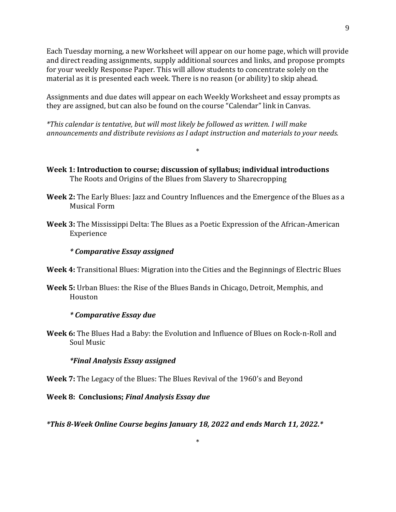Each Tuesday morning, a new Worksheet will appear on our home page, which will provide and direct reading assignments, supply additional sources and links, and propose prompts for your weekly Response Paper. This will allow students to concentrate solely on the material as it is presented each week. There is no reason (or ability) to skip ahead.

Assignments and due dates will appear on each Weekly Worksheet and essay prompts as they are assigned, but can also be found on the course "Calendar" link in Canvas.

*\*This calendar is tentative, but will most likely be followed as written. I will make announcements and distribute revisions as I adapt instruction and materials to your needs.*

\*

- **Week 1: Introduction to course; discussion of syllabus; individual introductions**  The Roots and Origins of the Blues from Slavery to Sharecropping
- **Week 2:** The Early Blues: Jazz and Country Influences and the Emergence of the Blues as a Musical Form
- **Week 3:** The Mississippi Delta: The Blues as a Poetic Expression of the African-American Experience

#### *\* Comparative Essay assigned*

- **Week 4:** Transitional Blues: Migration into the Cities and the Beginnings of Electric Blues
- **Week 5:** Urban Blues: the Rise of the Blues Bands in Chicago, Detroit, Memphis, and Houston

#### *\* Comparative Essay due*

**Week 6:** The Blues Had a Baby: the Evolution and Influence of Blues on Rock-n-Roll and Soul Music

#### *\*Final Analysis Essay assigned*

**Week 7:** The Legacy of the Blues: The Blues Revival of the 1960's and Beyond

**Week 8: Conclusions;** *Final Analysis Essay due*

*\*This 8-Week Online Course begins January 18, 2022 and ends March 11, 2022.\**

\*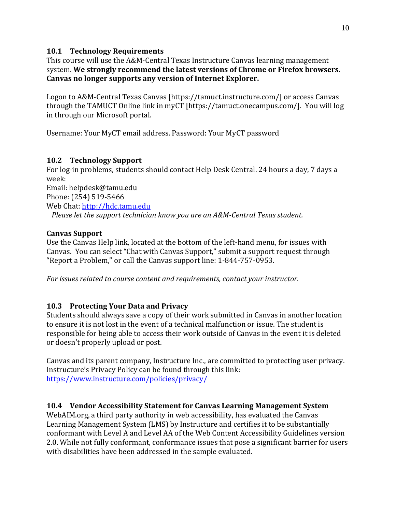### **10.1 Technology Requirements**

This course will use the A&M-Central Texas Instructure Canvas learning management system. **We strongly recommend the latest versions of Chrome or Firefox browsers. Canvas no longer supports any version of Internet Explorer.**

Logon to A&M-Central Texas Canvas [https://tamuct.instructure.com/] or access Canvas through the TAMUCT Online link in myCT [https://tamuct.onecampus.com/]. You will log in through our Microsoft portal.

Username: Your MyCT email address. Password: Your MyCT password

### **10.2 Technology Support**

For log-in problems, students should contact Help Desk Central. 24 hours a day, 7 days a week: Email: helpdesk@tamu.edu Phone: (254) 519-5466 Web Chat: [http://hdc.tamu.edu](http://hdc.tamu.edu/)  *Please let the support technician know you are an A&M-Central Texas student.*

### **Canvas Support**

Use the Canvas Help link, located at the bottom of the left-hand menu, for issues with Canvas. You can select "Chat with Canvas Support," submit a support request through "Report a Problem," or call the Canvas support line: 1-844-757-0953.

*For issues related to course content and requirements, contact your instructor.*

# **10.3 Protecting Your Data and Privacy**

Students should always save a copy of their work submitted in Canvas in another location to ensure it is not lost in the event of a technical malfunction or issue. The student is responsible for being able to access their work outside of Canvas in the event it is deleted or doesn't properly upload or post.

Canvas and its parent company, Instructure Inc., are committed to protecting user privacy. Instructure's Privacy Policy can be found through this link: <https://www.instructure.com/policies/privacy/>

### **10.4 Vendor Accessibility Statement for Canvas Learning Management System**

WebAIM.org, a third party authority in web accessibility, has evaluated the Canvas Learning Management System (LMS) by Instructure and certifies it to be substantially conformant with Level A and Level AA of the Web Content Accessibility Guidelines version 2.0. While not fully conformant, conformance issues that pose a significant barrier for users with disabilities have been addressed in the sample evaluated.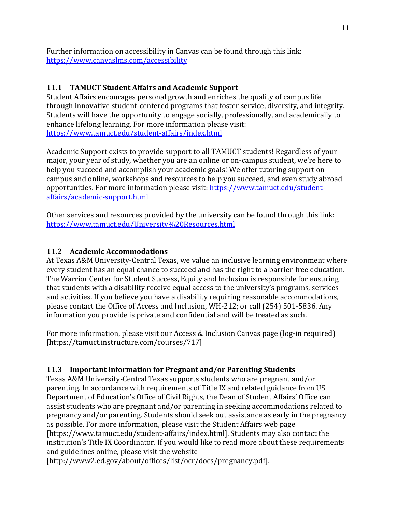Further information on accessibility in Canvas can be found through this link: <https://www.canvaslms.com/accessibility>

# **11.1 TAMUCT Student Affairs and Academic Support**

Student Affairs encourages personal growth and enriches the quality of campus life through innovative student-centered programs that foster service, diversity, and integrity. Students will have the opportunity to engage socially, professionally, and academically to enhance lifelong learning. For more information please visit: <https://www.tamuct.edu/student-affairs/index.html>

Academic Support exists to provide support to all TAMUCT students! Regardless of your major, your year of study, whether you are an online or on-campus student, we're here to help you succeed and accomplish your academic goals! We offer tutoring support oncampus and online, workshops and resources to help you succeed, and even study abroad opportunities. For more information please visit: [https://www.tamuct.edu/student](https://www.tamuct.edu/student-affairs/academic-support.html)[affairs/academic-support.html](https://www.tamuct.edu/student-affairs/academic-support.html)

Other services and resources provided by the university can be found through this link: <https://www.tamuct.edu/University%20Resources.html>

### **11.2 Academic Accommodations**

At Texas A&M University-Central Texas, we value an inclusive learning environment where every student has an equal chance to succeed and has the right to a barrier-free education. The Warrior Center for Student Success, Equity and Inclusion is responsible for ensuring that students with a disability receive equal access to the university's programs, services and activities. If you believe you have a disability requiring reasonable accommodations, please contact the Office of Access and Inclusion, WH-212; or call (254) 501-5836. Any information you provide is private and confidential and will be treated as such.

For more information, please visit our Access & Inclusion Canvas page (log-in required) [https://tamuct.instructure.com/courses/717]

### **11.3 Important information for Pregnant and/or Parenting Students**

Texas A&M University-Central Texas supports students who are pregnant and/or parenting. In accordance with requirements of Title IX and related guidance from US Department of Education's Office of Civil Rights, the Dean of Student Affairs' Office can assist students who are pregnant and/or parenting in seeking accommodations related to pregnancy and/or parenting. Students should seek out assistance as early in the pregnancy as possible. For more information, please visit the Student Affairs web page [https://www.tamuct.edu/student-affairs/index.html]. Students may also contact the institution's Title IX Coordinator. If you would like to read more about these requirements and guidelines online, please visit the website

[http://www2.ed.gov/about/offices/list/ocr/docs/pregnancy.pdf].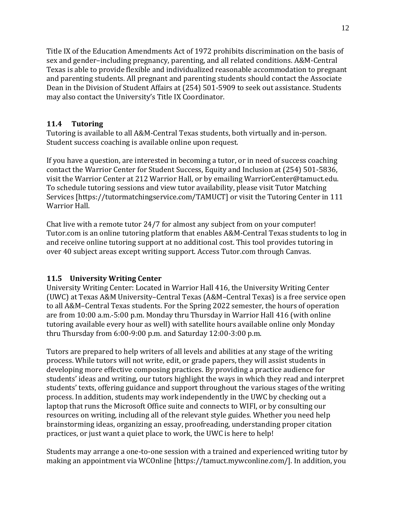Title IX of the Education Amendments Act of 1972 prohibits discrimination on the basis of sex and gender–including pregnancy, parenting, and all related conditions. A&M-Central Texas is able to provide flexible and individualized reasonable accommodation to pregnant and parenting students. All pregnant and parenting students should contact the Associate Dean in the Division of Student Affairs at (254) 501-5909 to seek out assistance. Students may also contact the University's Title IX Coordinator.

### **11.4 Tutoring**

Tutoring is available to all A&M-Central Texas students, both virtually and in-person. Student success coaching is available online upon request.

If you have a question, are interested in becoming a tutor, or in need of success coaching contact the Warrior Center for Student Success, Equity and Inclusion at (254) 501-5836, visit the Warrior Center at 212 Warrior Hall, or by emailing WarriorCenter@tamuct.edu. To schedule tutoring sessions and view tutor availability, please visit Tutor Matching Services [https://tutormatchingservice.com/TAMUCT] or visit the Tutoring Center in 111 Warrior Hall.

Chat live with a remote tutor 24/7 for almost any subject from on your computer! Tutor.com is an online tutoring platform that enables A&M-Central Texas students to log in and receive online tutoring support at no additional cost. This tool provides tutoring in over 40 subject areas except writing support. Access Tutor.com through Canvas.

# **11.5 University Writing Center**

University Writing Center: Located in Warrior Hall 416, the University Writing Center (UWC) at Texas A&M University–Central Texas (A&M–Central Texas) is a free service open to all A&M–Central Texas students. For the Spring 2022 semester, the hours of operation are from 10:00 a.m.-5:00 p.m. Monday thru Thursday in Warrior Hall 416 (with online tutoring available every hour as well) with satellite hours available online only Monday thru Thursday from 6:00-9:00 p.m. and Saturday 12:00-3:00 p.m.

Tutors are prepared to help writers of all levels and abilities at any stage of the writing process. While tutors will not write, edit, or grade papers, they will assist students in developing more effective composing practices. By providing a practice audience for students' ideas and writing, our tutors highlight the ways in which they read and interpret students' texts, offering guidance and support throughout the various stages of the writing process. In addition, students may work independently in the UWC by checking out a laptop that runs the Microsoft Office suite and connects to WIFI, or by consulting our resources on writing, including all of the relevant style guides. Whether you need help brainstorming ideas, organizing an essay, proofreading, understanding proper citation practices, or just want a quiet place to work, the UWC is here to help!

Students may arrange a one-to-one session with a trained and experienced writing tutor by making an appointment via WCOnline [https://tamuct.mywconline.com/]. In addition, you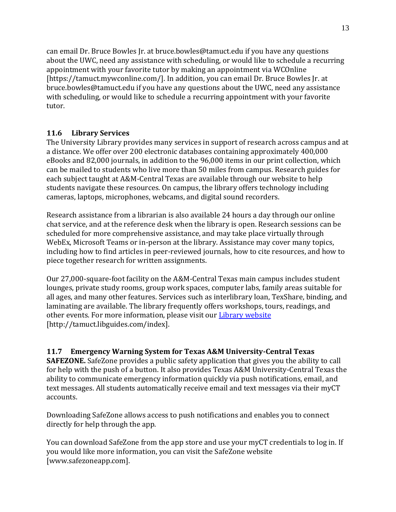can email Dr. Bruce Bowles Jr. at bruce.bowles@tamuct.edu if you have any questions about the UWC, need any assistance with scheduling, or would like to schedule a recurring appointment with your favorite tutor by making an appointment via WCOnline [https://tamuct.mywconline.com/]. In addition, you can email Dr. Bruce Bowles Jr. at bruce.bowles@tamuct.edu if you have any questions about the UWC, need any assistance with scheduling, or would like to schedule a recurring appointment with your favorite tutor.

## **11.6 Library Services**

The University Library provides many services in support of research across campus and at a distance. We offer over 200 electronic databases containing approximately 400,000 eBooks and 82,000 journals, in addition to the 96,000 items in our print collection, which can be mailed to students who live more than 50 miles from campus. Research guides for each subject taught at A&M-Central Texas are available through our website to help students navigate these resources. On campus, the library offers technology including cameras, laptops, microphones, webcams, and digital sound recorders.

Research assistance from a librarian is also available 24 hours a day through our online chat service, and at the reference desk when the library is open. Research sessions can be scheduled for more comprehensive assistance, and may take place virtually through WebEx, Microsoft Teams or in-person at the library. Assistance may cover many topics, including how to find articles in peer-reviewed journals, how to cite resources, and how to piece together research for written assignments.

Our 27,000-square-foot facility on the A&M-Central Texas main campus includes student lounges, private study rooms, group work spaces, computer labs, family areas suitable for all ages, and many other features. Services such as interlibrary loan, TexShare, binding, and laminating are available. The library frequently offers workshops, tours, readings, and other events. For more information, please visit our [Library website](https://nam04.safelinks.protection.outlook.com/?url=https%3A%2F%2Ftamuct.libguides.com%2Findex&data=04%7C01%7Clisa.bunkowski%40tamuct.edu%7C7d8489e8839a4915335f08d916f067f2%7C9eed4e3000f744849ff193ad8005acec%7C0%7C0%7C637566044056484222%7CUnknown%7CTWFpbGZsb3d8eyJWIjoiMC4wLjAwMDAiLCJQIjoiV2luMzIiLCJBTiI6Ik1haWwiLCJXVCI6Mn0%3D%7C1000&sdata=2R755V6rcIyedGrd4Os5rkgn1PvhHKU3kUV1vBKiHFo%3D&reserved=0) [http://tamuct.libguides.com/index].

### **11.7 Emergency Warning System for Texas A&M University-Central Texas**

**SAFEZONE.** SafeZone provides a public safety application that gives you the ability to call for help with the push of a button. It also provides Texas A&M University-Central Texas the ability to communicate emergency information quickly via push notifications, email, and text messages. All students automatically receive email and text messages via their myCT accounts.

Downloading SafeZone allows access to push notifications and enables you to connect directly for help through the app.

You can download SafeZone from the app store and use your myCT credentials to log in. If you would like more information, you can visit the SafeZone website [www.safezoneapp.com].